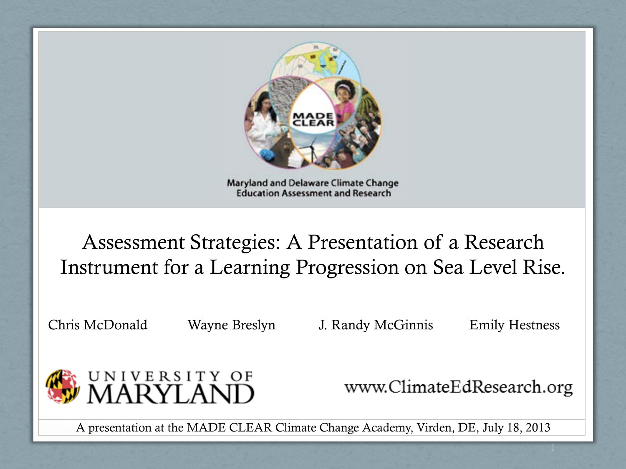

Maryland and Delaware Climate Change **Education Assessment and Research** 

### Assessment Strategies: A Presentation of a Research Instrument for a Learning Progression on Sea Level Rise.

Chris McDonald Wayne Breslyn J. Randy McGinnis Emily Hestness



www.ClimateEdResearch.org

A presentation at the MADE CLEAR Climate Change Academy, Virden, DE, July 18, 2013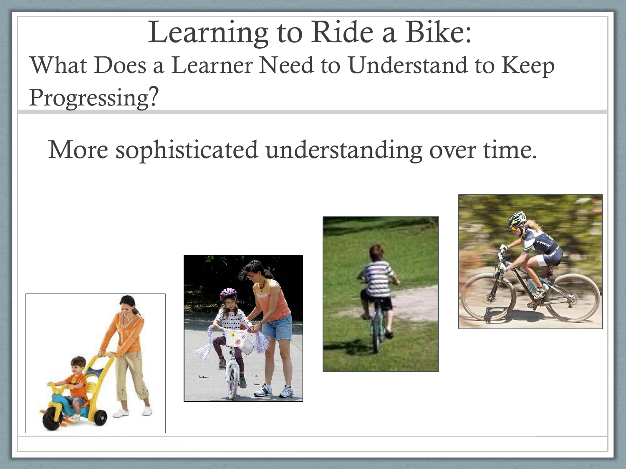Learning to Ride a Bike: What Does a Learner Need to Understand to Keep Progressing?

### More sophisticated understanding over time.







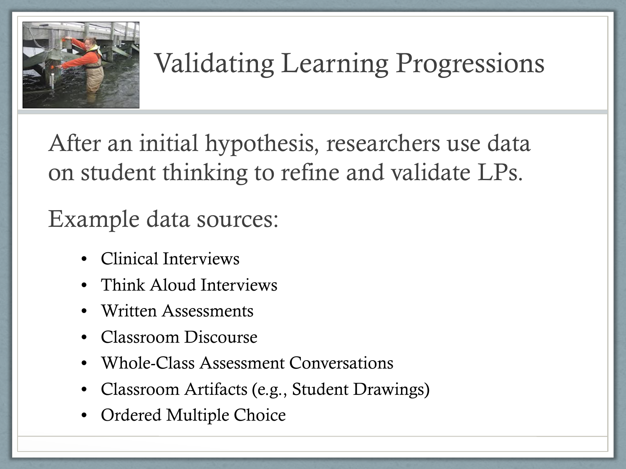

### Validating Learning Progressions

After an initial hypothesis, researchers use data on student thinking to refine and validate LPs.

Example data sources:

- Clinical Interviews
- Think Aloud Interviews
- Written Assessments
- Classroom Discourse
- Whole-Class Assessment Conversations
- Classroom Artifacts (e.g., Student Drawings)
- Ordered Multiple Choice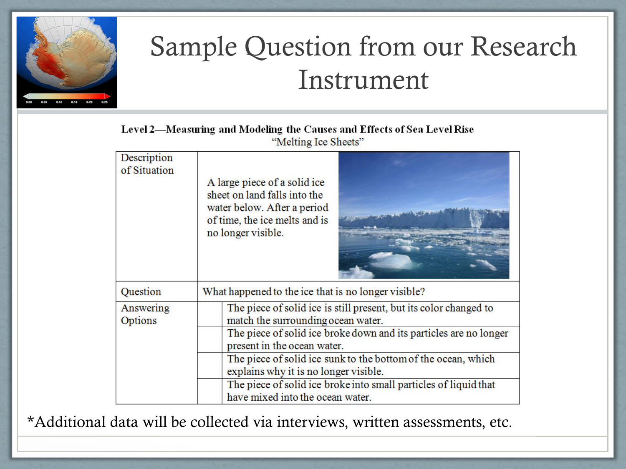

### Sample Question from our Research Instrument

#### Level 2-Measuring and Modeling the Causes and Effects of Sea Level Rise "Melting Ice Sheets"

| Description<br>of Situation | A large piece of a solid ice<br>sheet on land falls into the<br>water below. After a period<br>of time, the ice melts and is<br>no longer visible. |
|-----------------------------|----------------------------------------------------------------------------------------------------------------------------------------------------|
| Question                    | What happened to the ice that is no longer visible?                                                                                                |
| Answering<br>Options        | The piece of solid ice is still present, but its color changed to<br>match the surrounding ocean water.                                            |
|                             | The piece of solid ice broke down and its particles are no longer<br>present in the ocean water.                                                   |
|                             | The piece of solid ice sunk to the bottom of the ocean, which<br>explains why it is no longer visible.                                             |
|                             | The piece of solid ice broke into small particles of liquid that<br>have mixed into the ocean water.                                               |

\*Additional data will be collected via interviews, written assessments, etc.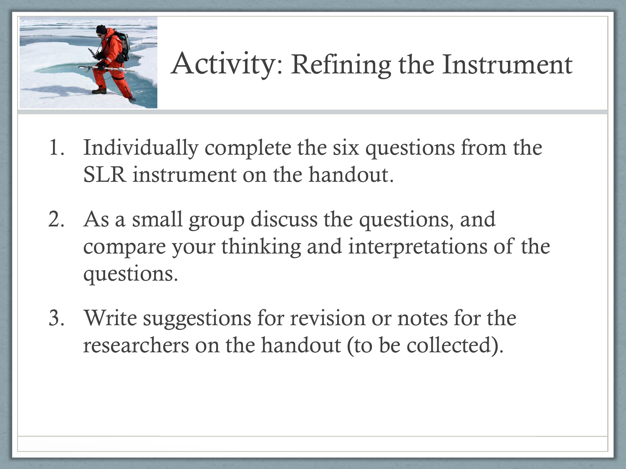

## Activity: Refining the Instrument

- 1. Individually complete the six questions from the SLR instrument on the handout.
- 2. As a small group discuss the questions, and compare your thinking and interpretations of the questions.
- 3. Write suggestions for revision or notes for the researchers on the handout (to be collected).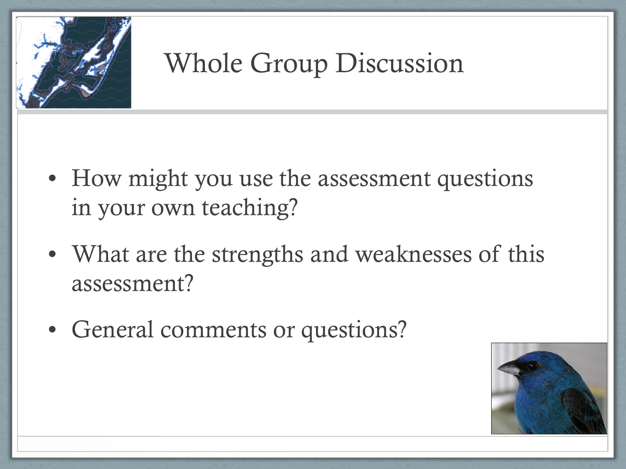

### Whole Group Discussion

- How might you use the assessment questions in your own teaching?
- What are the strengths and weaknesses of this assessment?
- General comments or questions?